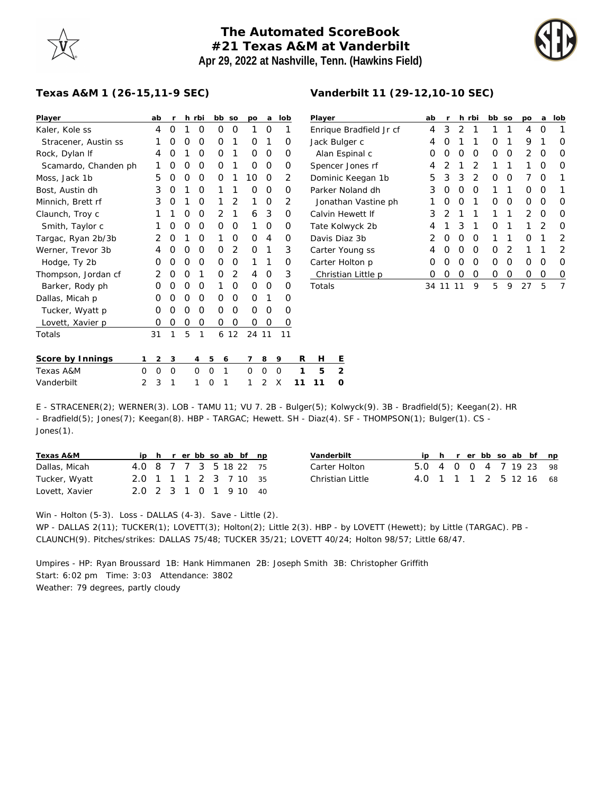## **The Automated ScoreBook #21 Texas A&M at Vanderbilt Apr 29, 2022 at Nashville, Tenn. (Hawkins Field)**



## **Texas A&M 1 (26-15,11-9 SEC)**

| Player               | ab | r |   | h rbi | bb     | SO            | po    | a | lob            |
|----------------------|----|---|---|-------|--------|---------------|-------|---|----------------|
| Kaler, Kole ss       | 4  | Ο | 1 | Ο     | O      | O             | 1     | Ο | 1              |
| Stracener, Austin ss | 1  | O | O | O     | Ω      | 1             | Ω     | 1 | ∩              |
| Rock, Dylan If       | 4  | Ο | 1 | Ο     | Ο      | 1             | Ο     | 0 | Ω              |
| Scamardo, Chanden ph | 1  | Ο | O | O     | Ο      | 1             | Ο     | 0 | $\Omega$       |
| Moss, Jack 1b        | 5  | Ο | O | O     | Ω      | 1             | 10    | Ο | $\overline{2}$ |
| Bost, Austin dh      | 3  | O | 1 | O     | 1      | 1             | Ω     | Ω | O              |
| Minnich, Brett rf    | 3  | Ο | 1 | O     | 1      | $\mathcal{P}$ | 1     | Ο | 2              |
| Claunch, Troy c      | 1  | 1 | O | O     | 2      | 1             | 6     | 3 | O              |
| Smith, Taylor c      | 1  | Ο | O | O     | O      | O             | 1     | 0 | $\Omega$       |
| Targac, Ryan 2b/3b   | 2  | O | 1 | O     | 1      | Ω             | Ω     | 4 | ∩              |
| Werner, Trevor 3b    | 4  | O | O | Ω     | Ω      | $\mathcal{P}$ | Ω     | 1 | 3              |
| Hodge, Ty 2b         | Ω  | Ο | O | O     | Ω      | Ο             | 1     | 1 | $\Omega$       |
| Thompson, Jordan cf  | 2  | Ο | O | 1     | Ω      | 2             | 4     | Ο | 3              |
| Barker, Rody ph      | Ω  | Ω | 0 | O     | 1      | Ω             | Ω     | Ω | ∩              |
| Dallas, Micah p      | Ω  | Ω | O | Ω     | Ω      | 0             | Ω     | 1 | $\Omega$       |
| Tucker, Wyatt p      | Ω  | Ο | O | Ο     | Ω      | Ο             | O     | 0 | $\Omega$       |
| Lovett, Xavier p     | Ω  | Ο | O | Ο     | Ο      | Ο             | Ο     | 0 | 0              |
| Totals               | 31 | 1 | 5 | 1     | 6      | 12            | 24 11 |   | 11             |
| Score by Innings     | 2  | 3 |   | 4     | 5<br>6 |               | 7     | 8 | 9              |

| Player                  | ab | r             | h             | rbi           | bb | SO | po             | a             | lob |
|-------------------------|----|---------------|---------------|---------------|----|----|----------------|---------------|-----|
| Enrique Bradfield Jr cf | 4  | 3             | $\mathcal{D}$ | 1             | 1  | 1  | 4              | O             | 1   |
| Jack Bulger c           | 4  | Ω             | 1             | 1             | O  | 1  | 9              | 1             | Ω   |
| Alan Espinal c          | Ω  | O             | O             | O             | O  | O  | $\mathcal{P}$  | O             | O   |
| Spencer Jones rf        | 4  | 2             | 1             | $\mathcal{P}$ | 1  | 1  | 1              | O             | Ω   |
| Dominic Keegan 1b       | 5  | 3             | 3             | $\mathcal{P}$ | 0  | Ω  | 7              | O             |     |
| Parker Noland dh        | 3  | Ο             | O             | O             | 1  | 1  | Ω              | O             | 1   |
| Jonathan Vastine ph     | 1  | Ω             | O             | 1             | O  | O  | Ω              | O             | Ω   |
| Calvin Hewett If        | 3  | $\mathcal{D}$ | 1             | 1             | 1  | 1  | $\mathfrak{D}$ | O             | O   |
| Tate Kolwyck 2b         | 4  | 1             | 3             | 1             | 0  | 1  | 1              | $\mathcal{P}$ | O   |
| Davis Diaz 3b           | 2  | O             | O             | O             | 1  | 1  | Ω              | 1             | 2   |
| Carter Young ss         | 4  | O             | O             | O             | 0  | 2  | 1              | 1             | 2   |
| Carter Holton p         | 0  | Ω             | O             | O             | O  | Ω  | Ω              | O             | Ω   |
| Christian Little p      | Ω  | Ω             | Ω             | Ω             | Ω  | 0  | Ω              | 0             | O   |
| Totals                  | 34 | 1             |               | 9             | 5  | 9  | 27             | 5             | 7   |

**Vanderbilt 11 (29-12,10-10 SEC)**

| Score by Innings |  |  |  |  | 123456789 RHE             |  |
|------------------|--|--|--|--|---------------------------|--|
| Texas A&M        |  |  |  |  | 0 0 0 0 0 1 0 0 0 1 5 2   |  |
| Vanderbilt       |  |  |  |  | 2 3 1 1 0 1 1 2 X 11 11 0 |  |

E - STRACENER(2); WERNER(3). LOB - TAMU 11; VU 7. 2B - Bulger(5); Kolwyck(9). 3B - Bradfield(5); Keegan(2). HR - Bradfield(5); Jones(7); Keegan(8). HBP - TARGAC; Hewett. SH - Diaz(4). SF - THOMPSON(1); Bulger(1). CS - Jones(1).

| Texas A&M      |                        |  |  |  | ip h r er bb so ab bf np |  |
|----------------|------------------------|--|--|--|--------------------------|--|
| Dallas, Micah  | 4.0 8 7 7 3 5 18 22 75 |  |  |  |                          |  |
| Tucker, Wyatt  | 2.0 1 1 1 2 3 7 10 35  |  |  |  |                          |  |
| Lovett, Xavier | 2.0 2 3 1 0 1 9 10 40  |  |  |  |                          |  |

| Vanderbilt       |                        |  |  |  | ip h r er bb so ab bf np |  |
|------------------|------------------------|--|--|--|--------------------------|--|
| Carter Holton    | 5.0 4 0 0 4 7 19 23 98 |  |  |  |                          |  |
| Christian Little | 4.0 1 1 1 2 5 12 16 68 |  |  |  |                          |  |

## Win - Holton (5-3). Loss - DALLAS (4-3). Save - Little (2).

WP - DALLAS 2(11); TUCKER(1); LOVETT(3); Holton(2); Little 2(3). HBP - by LOVETT (Hewett); by Little (TARGAC). PB -CLAUNCH(9). Pitches/strikes: DALLAS 75/48; TUCKER 35/21; LOVETT 40/24; Holton 98/57; Little 68/47.

Umpires - HP: Ryan Broussard 1B: Hank Himmanen 2B: Joseph Smith 3B: Christopher Griffith Start: 6:02 pm Time: 3:03 Attendance: 3802 Weather: 79 degrees, partly cloudy